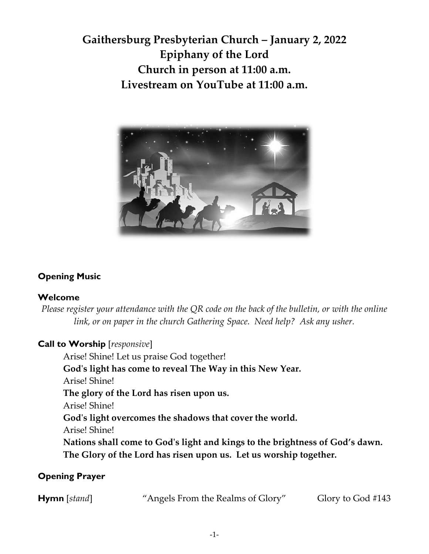# **Gaithersburg Presbyterian Church – January 2, 2022 Epiphany of the Lord Church in person at 11:00 a.m. Livestream on YouTube at 11:00 a.m.**



## **Opening Music**

## **Welcome**

*Please register your attendance with the QR code on the back of the bulletin, or with the online link, or on paper in the church Gathering Space. Need help? Ask any usher.*

## **Call to Worship** [*responsive*]

Arise! Shine! Let us praise God together! **God's light has come to reveal The Way in this New Year.** Arise! Shine! **The glory of the Lord has risen upon us.** Arise! Shine! **God's light overcomes the shadows that cover the world.** Arise! Shine! **Nations shall come to God's light and kings to the brightness of God's dawn. The Glory of the Lord has risen upon us. Let us worship together.** 

## **Opening Prayer**

| <b>Hymn</b> [stand] | "Angels From the Realms of Glory" | Glory to God #143 |
|---------------------|-----------------------------------|-------------------|
|                     |                                   |                   |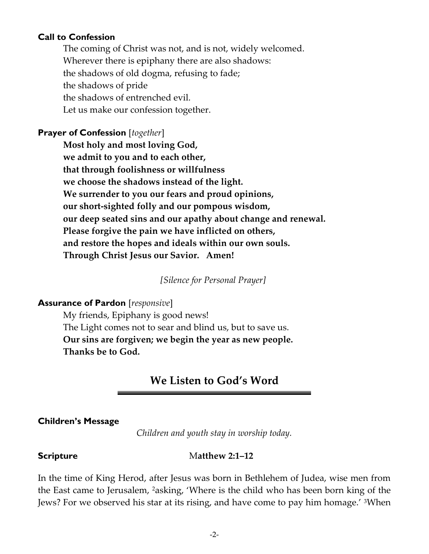### **Call to Confession**

The coming of Christ was not, and is not, widely welcomed. Wherever there is epiphany there are also shadows: the shadows of old dogma, refusing to fade; the shadows of pride the shadows of entrenched evil. Let us make our confession together.

## **Prayer of Confession** [*together*]

**Most holy and most loving God, we admit to you and to each other, that through foolishness or willfulness we choose the shadows instead of the light. We surrender to you our fears and proud opinions, our short-sighted folly and our pompous wisdom, our deep seated sins and our apathy about change and renewal. Please forgive the pain we have inflicted on others, and restore the hopes and ideals within our own souls. Through Christ Jesus our Savior. Amen!**

*[Silence for Personal Prayer]*

## **Assurance of Pardon** [*responsive*]

My friends, Epiphany is good news! The Light comes not to sear and blind us, but to save us. **Our sins are forgiven; we begin the year as new people. Thanks be to God.** 

## **We Listen to God's Word**

## **Children's Message**

*Children and youth stay in worship today.*

#### **Scripture Matthew 2:1–12**

In the time of King Herod, after Jesus was born in Bethlehem of Judea, wise men from the East came to Jerusalem, 2asking, 'Where is the child who has been born king of the Jews? For we observed his star at its rising, and have come to pay him homage.' 3When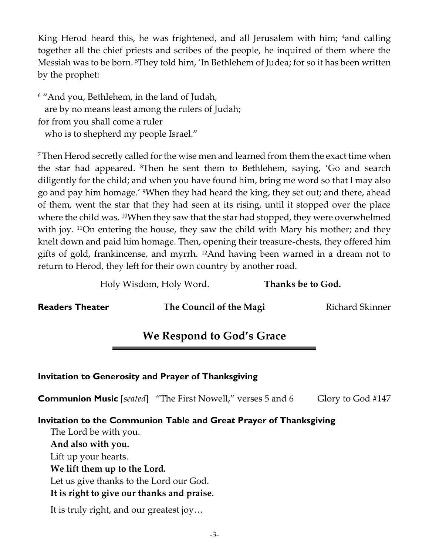King Herod heard this, he was frightened, and all Jerusalem with him; 4 and calling together all the chief priests and scribes of the people, he inquired of them where the Messiah was to be born. 5They told him, 'In Bethlehem of Judea; for so it has been written by the prophet:

<sup>6</sup> "And you, Bethlehem, in the land of Judah, are by no means least among the rulers of Judah; for from you shall come a ruler who is to shepherd my people Israel."

<sup>7</sup> Then Herod secretly called for the wise men and learned from them the exact time when the star had appeared. 8Then he sent them to Bethlehem, saying, 'Go and search diligently for the child; and when you have found him, bring me word so that I may also go and pay him homage.' 9When they had heard the king, they set out; and there, ahead of them, went the star that they had seen at its rising, until it stopped over the place where the child was. <sup>10</sup>When they saw that the star had stopped, they were overwhelmed with joy. <sup>11</sup>On entering the house, they saw the child with Mary his mother; and they knelt down and paid him homage. Then, opening their treasure-chests, they offered him gifts of gold, frankincense, and myrrh. 12And having been warned in a dream not to return to Herod, they left for their own country by another road.

Holy Wisdom, Holy Word. **Thanks be to God.**

**Readers Theater The Council of the Magi** Richard Skinner

## **We Respond to God's Grace**

## **Invitation to Generosity and Prayer of Thanksgiving**

**Communion Music** [*seated*] "The First Nowell," verses 5 and 6 Glory to God #147

## **Invitation to the Communion Table and Great Prayer of Thanksgiving**

The Lord be with you. **And also with you.** Lift up your hearts. **We lift them up to the Lord.** Let us give thanks to the Lord our God. **It is right to give our thanks and praise.**

It is truly right, and our greatest joy…